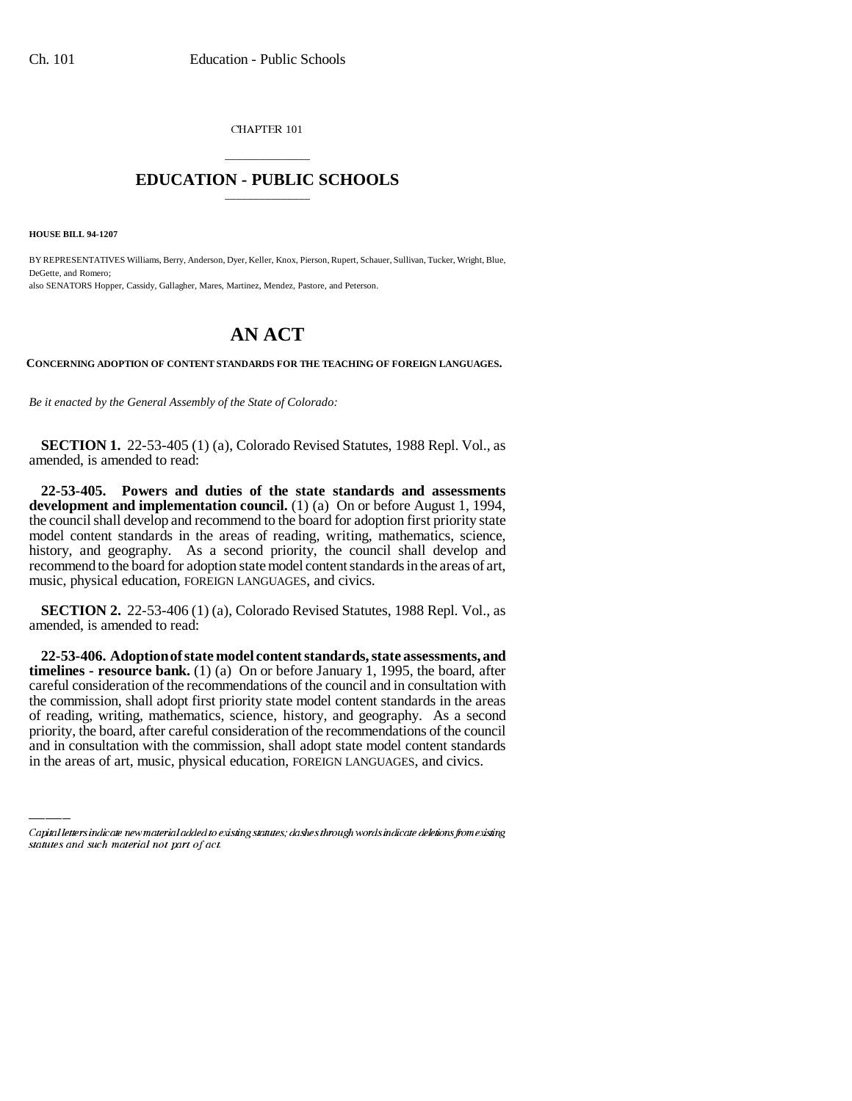CHAPTER 101

## \_\_\_\_\_\_\_\_\_\_\_\_\_\_\_ **EDUCATION - PUBLIC SCHOOLS** \_\_\_\_\_\_\_\_\_\_\_\_\_\_\_

**HOUSE BILL 94-1207**

BY REPRESENTATIVES Williams, Berry, Anderson, Dyer, Keller, Knox, Pierson, Rupert, Schauer, Sullivan, Tucker, Wright, Blue, DeGette, and Romero; also SENATORS Hopper, Cassidy, Gallagher, Mares, Martinez, Mendez, Pastore, and Peterson.

## **AN ACT**

**CONCERNING ADOPTION OF CONTENT STANDARDS FOR THE TEACHING OF FOREIGN LANGUAGES.**

*Be it enacted by the General Assembly of the State of Colorado:*

**SECTION 1.** 22-53-405 (1) (a), Colorado Revised Statutes, 1988 Repl. Vol., as amended, is amended to read:

**22-53-405. Powers and duties of the state standards and assessments development and implementation council.** (1) (a) On or before August 1, 1994, the council shall develop and recommend to the board for adoption first priority state model content standards in the areas of reading, writing, mathematics, science, history, and geography. As a second priority, the council shall develop and recommend to the board for adoption state model content standards in the areas of art, music, physical education, FOREIGN LANGUAGES, and civics.

**SECTION 2.** 22-53-406 (1) (a), Colorado Revised Statutes, 1988 Repl. Vol., as amended, is amended to read:

of reading, writing, mathematics, science, history, and geography. As a second **22-53-406. Adoption of state model content standards, state assessments, and timelines - resource bank.** (1) (a) On or before January 1, 1995, the board, after careful consideration of the recommendations of the council and in consultation with the commission, shall adopt first priority state model content standards in the areas priority, the board, after careful consideration of the recommendations of the council and in consultation with the commission, shall adopt state model content standards in the areas of art, music, physical education, FOREIGN LANGUAGES, and civics.

Capital letters indicate new material added to existing statutes; dashes through words indicate deletions from existing statutes and such material not part of act.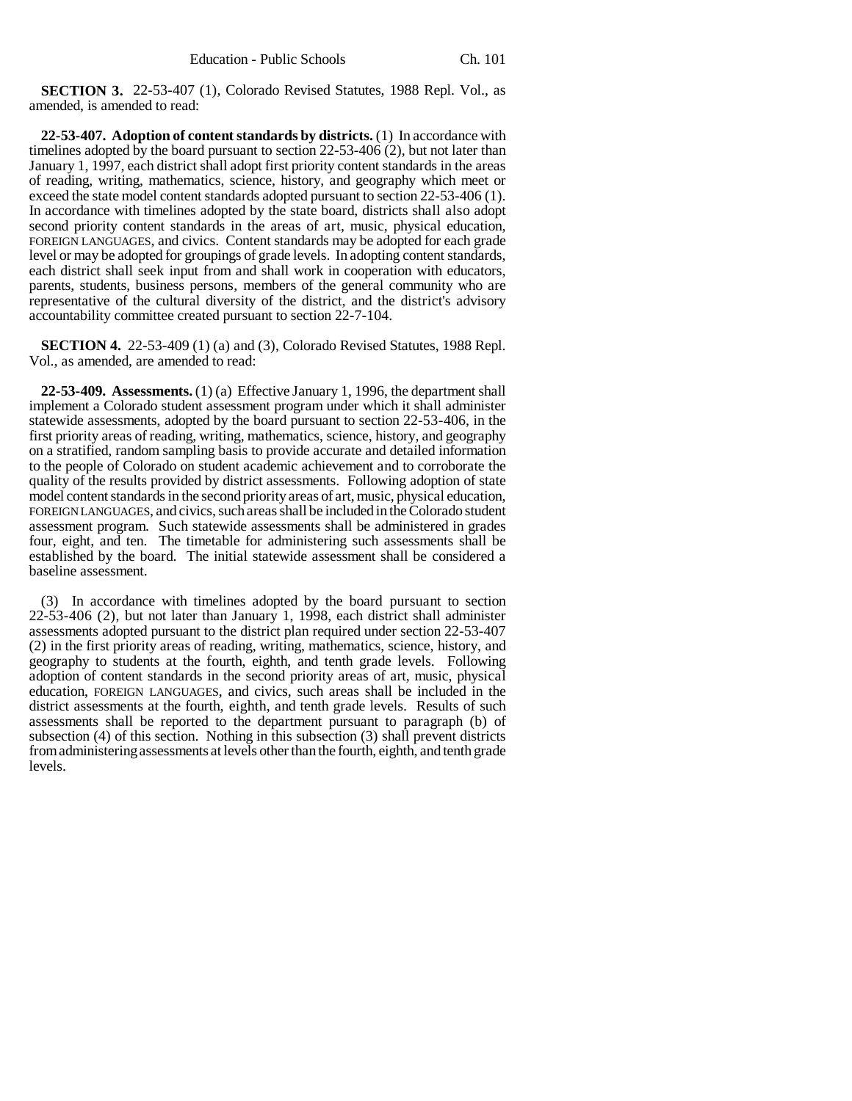**SECTION 3.** 22-53-407 (1), Colorado Revised Statutes, 1988 Repl. Vol., as amended, is amended to read:

**22-53-407. Adoption of content standards by districts.** (1) In accordance with timelines adopted by the board pursuant to section 22-53-406 (2), but not later than January 1, 1997, each district shall adopt first priority content standards in the areas of reading, writing, mathematics, science, history, and geography which meet or exceed the state model content standards adopted pursuant to section 22-53-406 (1). In accordance with timelines adopted by the state board, districts shall also adopt second priority content standards in the areas of art, music, physical education, FOREIGN LANGUAGES, and civics. Content standards may be adopted for each grade level or may be adopted for groupings of grade levels. In adopting content standards, each district shall seek input from and shall work in cooperation with educators, parents, students, business persons, members of the general community who are representative of the cultural diversity of the district, and the district's advisory accountability committee created pursuant to section 22-7-104.

**SECTION 4.** 22-53-409 (1) (a) and (3), Colorado Revised Statutes, 1988 Repl. Vol., as amended, are amended to read:

**22-53-409. Assessments.** (1) (a) Effective January 1, 1996, the department shall implement a Colorado student assessment program under which it shall administer statewide assessments, adopted by the board pursuant to section 22-53-406, in the first priority areas of reading, writing, mathematics, science, history, and geography on a stratified, random sampling basis to provide accurate and detailed information to the people of Colorado on student academic achievement and to corroborate the quality of the results provided by district assessments. Following adoption of state model content standards in the second priority areas of art, music, physical education, FOREIGN LANGUAGES, and civics, such areas shall be included in the Colorado student assessment program. Such statewide assessments shall be administered in grades four, eight, and ten. The timetable for administering such assessments shall be established by the board. The initial statewide assessment shall be considered a baseline assessment.

(3) In accordance with timelines adopted by the board pursuant to section 22-53-406 (2), but not later than January 1, 1998, each district shall administer assessments adopted pursuant to the district plan required under section 22-53-407 (2) in the first priority areas of reading, writing, mathematics, science, history, and geography to students at the fourth, eighth, and tenth grade levels. Following adoption of content standards in the second priority areas of art, music, physical education, FOREIGN LANGUAGES, and civics, such areas shall be included in the district assessments at the fourth, eighth, and tenth grade levels. Results of such assessments shall be reported to the department pursuant to paragraph (b) of subsection (4) of this section. Nothing in this subsection (3) shall prevent districts from administering assessments at levels other than the fourth, eighth, and tenth grade levels.